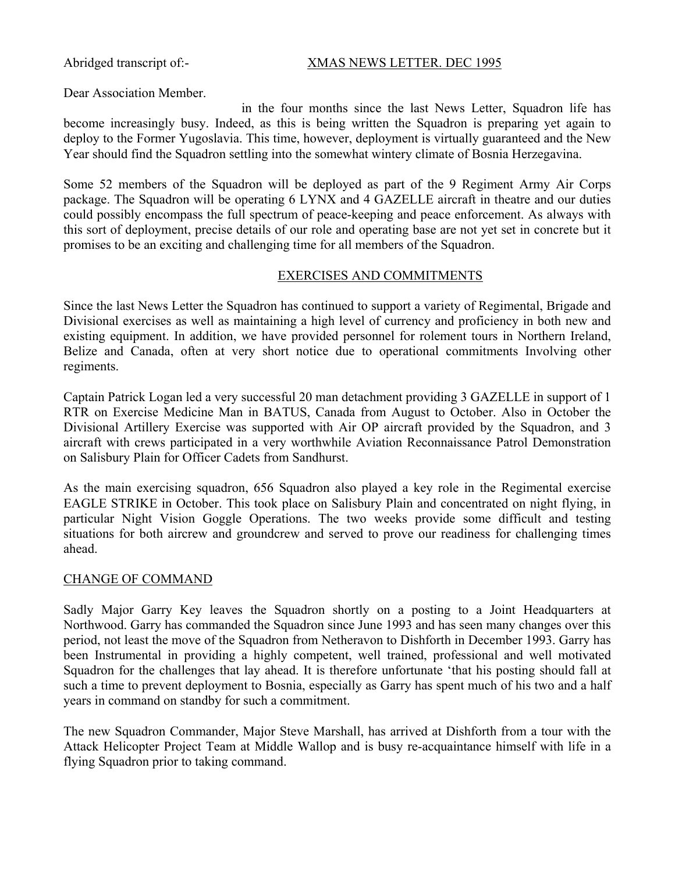#### Abridged transcript of:- XMAS NEWS LETTER. DEC 1995

Dear Association Member.

in the four months since the last News Letter, Squadron life has become increasingly busy. Indeed, as this is being written the Squadron is preparing yet again to deploy to the Former Yugoslavia. This time, however, deployment is virtually guaranteed and the New Year should find the Squadron settling into the somewhat wintery climate of Bosnia Herzegavina.

Some 52 members of the Squadron will be deployed as part of the 9 Regiment Army Air Corps package. The Squadron will be operating 6 LYNX and 4 GAZELLE aircraft in theatre and our duties could possibly encompass the full spectrum of peace-keeping and peace enforcement. As always with this sort of deployment, precise details of our role and operating base are not yet set in concrete but it promises to be an exciting and challenging time for all members of the Squadron.

#### EXERCISES AND COMMITMENTS

Since the last News Letter the Squadron has continued to support a variety of Regimental, Brigade and Divisional exercises as well as maintaining a high level of currency and proficiency in both new and existing equipment. In addition, we have provided personnel for rolement tours in Northern Ireland, Belize and Canada, often at very short notice due to operational commitments Involving other regiments.

Captain Patrick Logan led a very successful 20 man detachment providing 3 GAZELLE in support of 1 RTR on Exercise Medicine Man in BATUS, Canada from August to October. Also in October the Divisional Artillery Exercise was supported with Air OP aircraft provided by the Squadron, and 3 aircraft with crews participated in a very worthwhile Aviation Reconnaissance Patrol Demonstration on Salisbury Plain for Officer Cadets from Sandhurst.

As the main exercising squadron, 656 Squadron also played a key role in the Regimental exercise EAGLE STRIKE in October. This took place on Salisbury Plain and concentrated on night flying, in particular Night Vision Goggle Operations. The two weeks provide some difficult and testing situations for both aircrew and groundcrew and served to prove our readiness for challenging times ahead.

#### CHANGE OF COMMAND

Sadly Major Garry Key leaves the Squadron shortly on a posting to a Joint Headquarters at Northwood. Garry has commanded the Squadron since June 1993 and has seen many changes over this period, not least the move of the Squadron from Netheravon to Dishforth in December 1993. Garry has been Instrumental in providing a highly competent, well trained, professional and well motivated Squadron for the challenges that lay ahead. It is therefore unfortunate 'that his posting should fall at such a time to prevent deployment to Bosnia, especially as Garry has spent much of his two and a half years in command on standby for such a commitment.

The new Squadron Commander, Major Steve Marshall, has arrived at Dishforth from a tour with the Attack Helicopter Project Team at Middle Wallop and is busy re-acquaintance himself with life in a flying Squadron prior to taking command.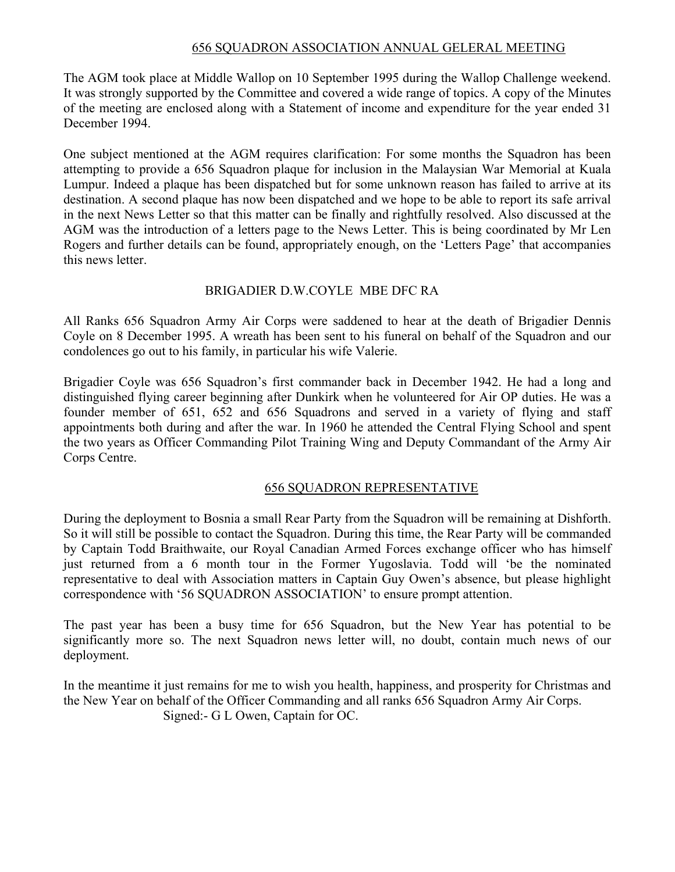## 656 SQUADRON ASSOCIATION ANNUAL GELERAL MEETING

The AGM took place at Middle Wallop on 10 September 1995 during the Wallop Challenge weekend. It was strongly supported by the Committee and covered a wide range of topics. A copy of the Minutes of the meeting are enclosed along with a Statement of income and expenditure for the year ended 31 December 1994.

One subject mentioned at the AGM requires clarification: For some months the Squadron has been attempting to provide a 656 Squadron plaque for inclusion in the Malaysian War Memorial at Kuala Lumpur. Indeed a plaque has been dispatched but for some unknown reason has failed to arrive at its destination. A second plaque has now been dispatched and we hope to be able to report its safe arrival in the next News Letter so that this matter can be finally and rightfully resolved. Also discussed at the AGM was the introduction of a letters page to the News Letter. This is being coordinated by Mr Len Rogers and further details can be found, appropriately enough, on the 'Letters Page' that accompanies this news letter.

# BRIGADIER D.W.COYLE MBE DFC RA

All Ranks 656 Squadron Army Air Corps were saddened to hear at the death of Brigadier Dennis Coyle on 8 December 1995. A wreath has been sent to his funeral on behalf of the Squadron and our condolences go out to his family, in particular his wife Valerie.

Brigadier Coyle was 656 Squadron's first commander back in December 1942. He had a long and distinguished flying career beginning after Dunkirk when he volunteered for Air OP duties. He was a founder member of 651, 652 and 656 Squadrons and served in a variety of flying and staff appointments both during and after the war. In 1960 he attended the Central Flying School and spent the two years as Officer Commanding Pilot Training Wing and Deputy Commandant of the Army Air Corps Centre.

# 656 SQUADRON REPRESENTATIVE

During the deployment to Bosnia a small Rear Party from the Squadron will be remaining at Dishforth. So it will still be possible to contact the Squadron. During this time, the Rear Party will be commanded by Captain Todd Braithwaite, our Royal Canadian Armed Forces exchange officer who has himself just returned from a 6 month tour in the Former Yugoslavia. Todd will 'be the nominated representative to deal with Association matters in Captain Guy Owen's absence, but please highlight correspondence with '56 SQUADRON ASSOCIATION' to ensure prompt attention.

The past year has been a busy time for 656 Squadron, but the New Year has potential to be significantly more so. The next Squadron news letter will, no doubt, contain much news of our deployment.

In the meantime it just remains for me to wish you health, happiness, and prosperity for Christmas and the New Year on behalf of the Officer Commanding and all ranks 656 Squadron Army Air Corps. Signed:- G L Owen, Captain for OC.